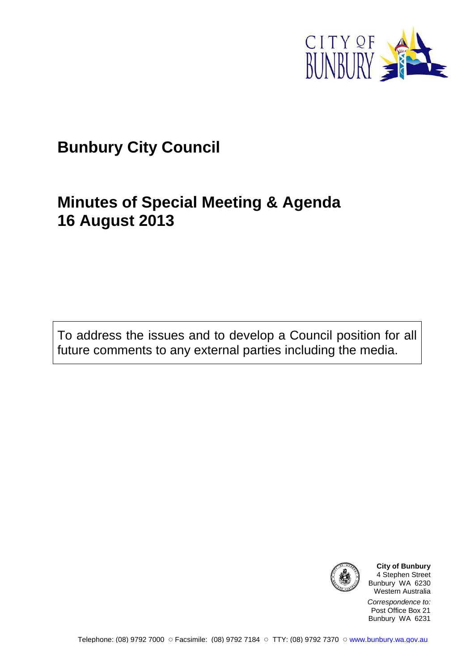

# **Bunbury City Council**

# **Minutes of Special Meeting & Agenda 16 August 2013**

To address the issues and to develop a Council position for all future comments to any external parties including the media.



**City of Bunbury** 4 Stephen Street Bunbury WA 6230 Western Australia

Correspondence to: Post Office Box 21 Bunbury WA 6231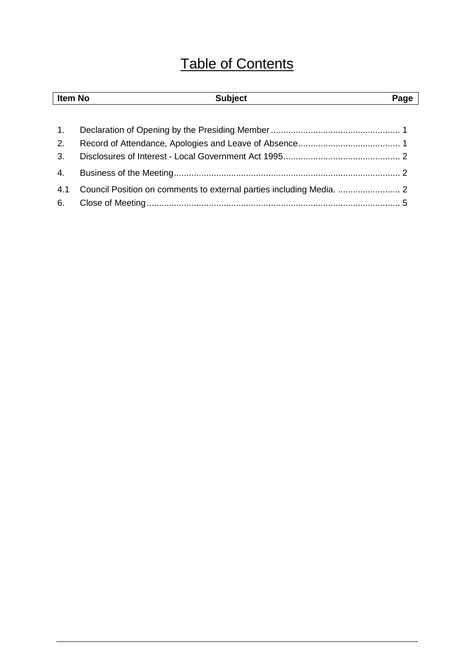# Table of Contents

| Item No | <b>Subject</b> | Page |
|---------|----------------|------|
|         |                |      |
| 1.      |                |      |
| 2.      |                |      |
| 3.      |                |      |
| 4.      |                |      |
| 4.1     |                |      |
| 6.      |                |      |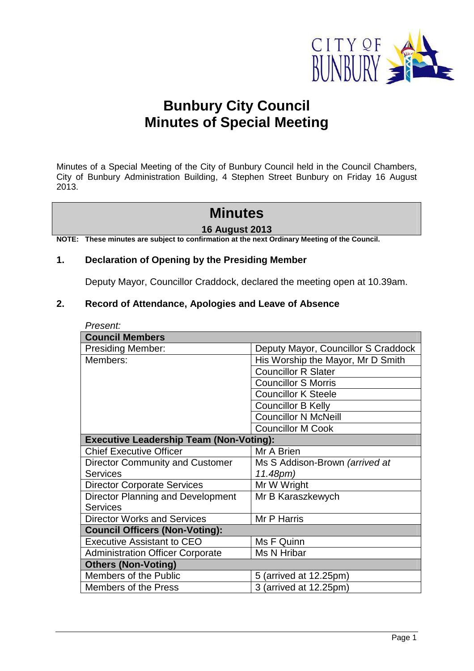

# **Bunbury City Council Minutes of Special Meeting**

Minutes of a Special Meeting of the City of Bunbury Council held in the Council Chambers, City of Bunbury Administration Building, 4 Stephen Street Bunbury on Friday 16 August 2013.

## **Minutes**

#### **16 August 2013**

**NOTE: These minutes are subject to confirmation at the next Ordinary Meeting of the Council.** 

#### **1. Declaration of Opening by the Presiding Member**

Deputy Mayor, Councillor Craddock, declared the meeting open at 10.39am.

#### **2. Record of Attendance, Apologies and Leave of Absence**

| Present:                                       |                                     |  |  |  |
|------------------------------------------------|-------------------------------------|--|--|--|
| <b>Council Members</b>                         |                                     |  |  |  |
| <b>Presiding Member:</b>                       | Deputy Mayor, Councillor S Craddock |  |  |  |
| Members:                                       | His Worship the Mayor, Mr D Smith   |  |  |  |
|                                                | <b>Councillor R Slater</b>          |  |  |  |
|                                                | <b>Councillor S Morris</b>          |  |  |  |
|                                                | <b>Councillor K Steele</b>          |  |  |  |
|                                                | <b>Councillor B Kelly</b>           |  |  |  |
|                                                | <b>Councillor N McNeill</b>         |  |  |  |
|                                                | <b>Councillor M Cook</b>            |  |  |  |
| <b>Executive Leadership Team (Non-Voting):</b> |                                     |  |  |  |
| <b>Chief Executive Officer</b>                 | Mr A Brien                          |  |  |  |
| <b>Director Community and Customer</b>         | Ms S Addison-Brown (arrived at      |  |  |  |
| <b>Services</b>                                | 11.48pm)                            |  |  |  |
| <b>Director Corporate Services</b>             | Mr W Wright                         |  |  |  |
| Director Planning and Development              | Mr B Karaszkewych                   |  |  |  |
| <b>Services</b>                                |                                     |  |  |  |
| <b>Director Works and Services</b>             | Mr P Harris                         |  |  |  |
| <b>Council Officers (Non-Voting):</b>          |                                     |  |  |  |
| <b>Executive Assistant to CEO</b>              | Ms F Quinn                          |  |  |  |
| <b>Administration Officer Corporate</b>        | Ms N Hribar                         |  |  |  |
| <b>Others (Non-Voting)</b>                     |                                     |  |  |  |
| Members of the Public                          | 5 (arrived at 12.25pm)              |  |  |  |
| <b>Members of the Press</b>                    | 3 (arrived at 12.25pm)              |  |  |  |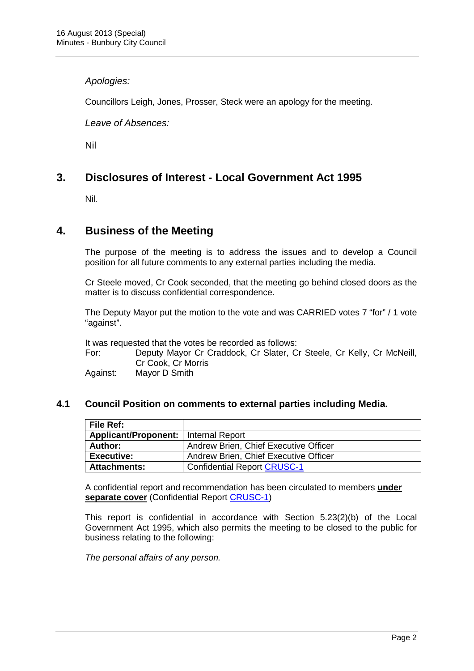#### Apologies:

Councillors Leigh, Jones, Prosser, Steck were an apology for the meeting.

#### Leave of Absences:

Nil

## **3. Disclosures of Interest - Local Government Act 1995**

Nil.

### **4. Business of the Meeting**

The purpose of the meeting is to address the issues and to develop a Council position for all future comments to any external parties including the media.

Cr Steele moved, Cr Cook seconded, that the meeting go behind closed doors as the matter is to discuss confidential correspondence.

The Deputy Mayor put the motion to the vote and was CARRIED votes 7 "for" / 1 vote "against".

It was requested that the votes be recorded as follows:

For: Deputy Mayor Cr Craddock, Cr Slater, Cr Steele, Cr Kelly, Cr McNeill, Cr Cook, Cr Morris

Against: Mayor D Smith

#### **4.1 Council Position on comments to external parties including Media.**

| <b>File Ref:</b>                       |                                       |
|----------------------------------------|---------------------------------------|
| Applicant/Proponent:   Internal Report |                                       |
| Author:                                | Andrew Brien, Chief Executive Officer |
| <b>Executive:</b>                      | Andrew Brien, Chief Executive Officer |
| <b>Attachments:</b>                    | <b>Confidential Report CRUSC-1</b>    |

A confidential report and recommendation has been circulated to members **under separate cover** (Confidential Report CRUSC-1)

This report is confidential in accordance with Section 5.23(2)(b) of the Local Government Act 1995, which also permits the meeting to be closed to the public for business relating to the following:

The personal affairs of any person.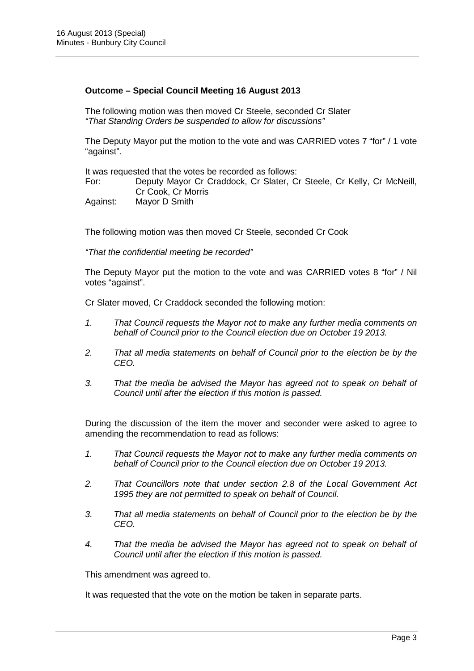#### **Outcome – Special Council Meeting 16 August 2013**

The following motion was then moved Cr Steele, seconded Cr Slater "That Standing Orders be suspended to allow for discussions"

The Deputy Mayor put the motion to the vote and was CARRIED votes 7 "for" / 1 vote "against".

It was requested that the votes be recorded as follows:

For: Deputy Mayor Cr Craddock, Cr Slater, Cr Steele, Cr Kelly, Cr McNeill, Cr Cook, Cr Morris Against: Mayor D Smith

The following motion was then moved Cr Steele, seconded Cr Cook

"That the confidential meeting be recorded"

The Deputy Mayor put the motion to the vote and was CARRIED votes 8 "for" / Nil votes "against".

Cr Slater moved, Cr Craddock seconded the following motion:

- 1. That Council requests the Mayor not to make any further media comments on behalf of Council prior to the Council election due on October 19 2013.
- 2. That all media statements on behalf of Council prior to the election be by the CEO.
- 3. That the media be advised the Mayor has agreed not to speak on behalf of Council until after the election if this motion is passed.

During the discussion of the item the mover and seconder were asked to agree to amending the recommendation to read as follows:

- 1. That Council requests the Mayor not to make any further media comments on behalf of Council prior to the Council election due on October 19 2013.
- 2. That Councillors note that under section 2.8 of the Local Government Act 1995 they are not permitted to speak on behalf of Council.
- 3. That all media statements on behalf of Council prior to the election be by the CEO.
- 4. That the media be advised the Mayor has agreed not to speak on behalf of Council until after the election if this motion is passed.

This amendment was agreed to.

It was requested that the vote on the motion be taken in separate parts.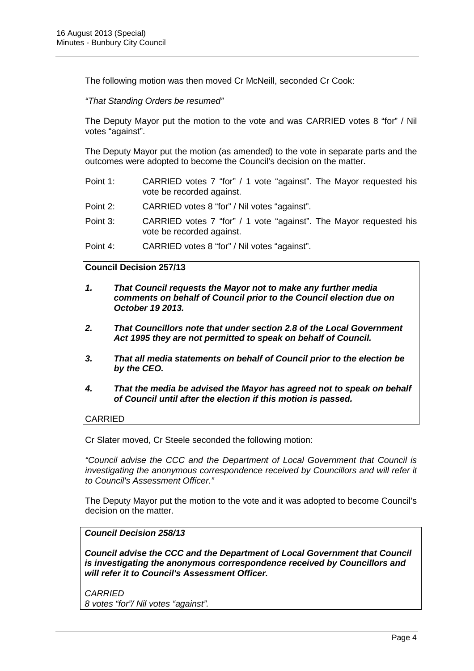The following motion was then moved Cr McNeill, seconded Cr Cook:

"That Standing Orders be resumed"

The Deputy Mayor put the motion to the vote and was CARRIED votes 8 "for" / Nil votes "against".

The Deputy Mayor put the motion (as amended) to the vote in separate parts and the outcomes were adopted to become the Council's decision on the matter.

- Point 1: CARRIED votes 7 "for" / 1 vote "against". The Mayor requested his vote be recorded against.
- Point 2: CARRIED votes 8 "for" / Nil votes "against".
- Point 3: CARRIED votes 7 "for" / 1 vote "against". The Mayor requested his vote be recorded against.
- Point 4: CARRIED votes 8 "for" / Nil votes "against".

#### **Council Decision 257/13**

- **1. That Council requests the Mayor not to make any further media comments on behalf of Council prior to the Council election due on October 19 2013.**
- **2. That Councillors note that under section 2.8 of the Local Government Act 1995 they are not permitted to speak on behalf of Council.**
- **3. That all media statements on behalf of Council prior to the election be by the CEO.**
- **4. That the media be advised the Mayor has agreed not to speak on behalf of Council until after the election if this motion is passed.**

CARRIED

Cr Slater moved, Cr Steele seconded the following motion:

"Council advise the CCC and the Department of Local Government that Council is investigating the anonymous correspondence received by Councillors and will refer it to Council's Assessment Officer."

The Deputy Mayor put the motion to the vote and it was adopted to become Council's decision on the matter.

**Council Decision 258/13** 

**Council advise the CCC and the Department of Local Government that Council is investigating the anonymous correspondence received by Councillors and will refer it to Council's Assessment Officer.** 

**CARRIED** 8 votes "for"/ Nil votes "against".